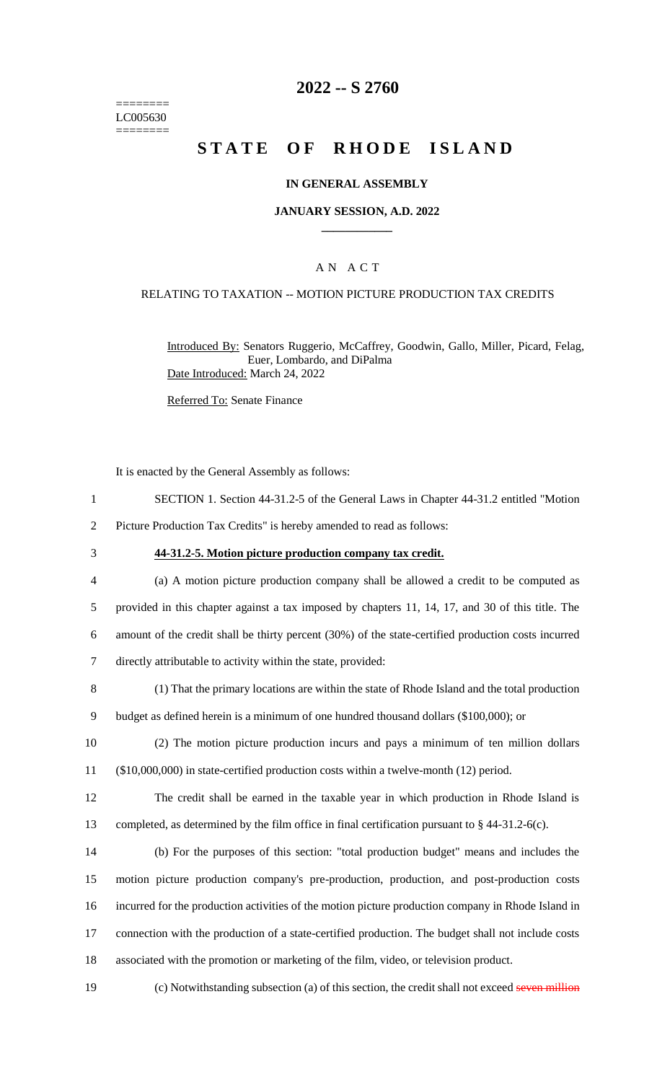======== LC005630 ========

# **2022 -- S 2760**

# **STATE OF RHODE ISLAND**

### **IN GENERAL ASSEMBLY**

### **JANUARY SESSION, A.D. 2022 \_\_\_\_\_\_\_\_\_\_\_\_**

## A N A C T

#### RELATING TO TAXATION -- MOTION PICTURE PRODUCTION TAX CREDITS

Introduced By: Senators Ruggerio, McCaffrey, Goodwin, Gallo, Miller, Picard, Felag, Euer, Lombardo, and DiPalma Date Introduced: March 24, 2022

Referred To: Senate Finance

It is enacted by the General Assembly as follows:

- 1 SECTION 1. Section 44-31.2-5 of the General Laws in Chapter 44-31.2 entitled "Motion
- 2 Picture Production Tax Credits" is hereby amended to read as follows:
- 

#### 3 **44-31.2-5. Motion picture production company tax credit.**

- 4 (a) A motion picture production company shall be allowed a credit to be computed as 5 provided in this chapter against a tax imposed by chapters 11, 14, 17, and 30 of this title. The 6 amount of the credit shall be thirty percent (30%) of the state-certified production costs incurred 7 directly attributable to activity within the state, provided:
- 8 (1) That the primary locations are within the state of Rhode Island and the total production

9 budget as defined herein is a minimum of one hundred thousand dollars (\$100,000); or

- 10 (2) The motion picture production incurs and pays a minimum of ten million dollars 11 (\$10,000,000) in state-certified production costs within a twelve-month (12) period.
- 12 The credit shall be earned in the taxable year in which production in Rhode Island is 13 completed, as determined by the film office in final certification pursuant to § 44-31.2-6(c).
- 14 (b) For the purposes of this section: "total production budget" means and includes the 15 motion picture production company's pre-production, production, and post-production costs 16 incurred for the production activities of the motion picture production company in Rhode Island in 17 connection with the production of a state-certified production. The budget shall not include costs 18 associated with the promotion or marketing of the film, video, or television product.

19 (c) Notwithstanding subsection (a) of this section, the credit shall not exceed seven million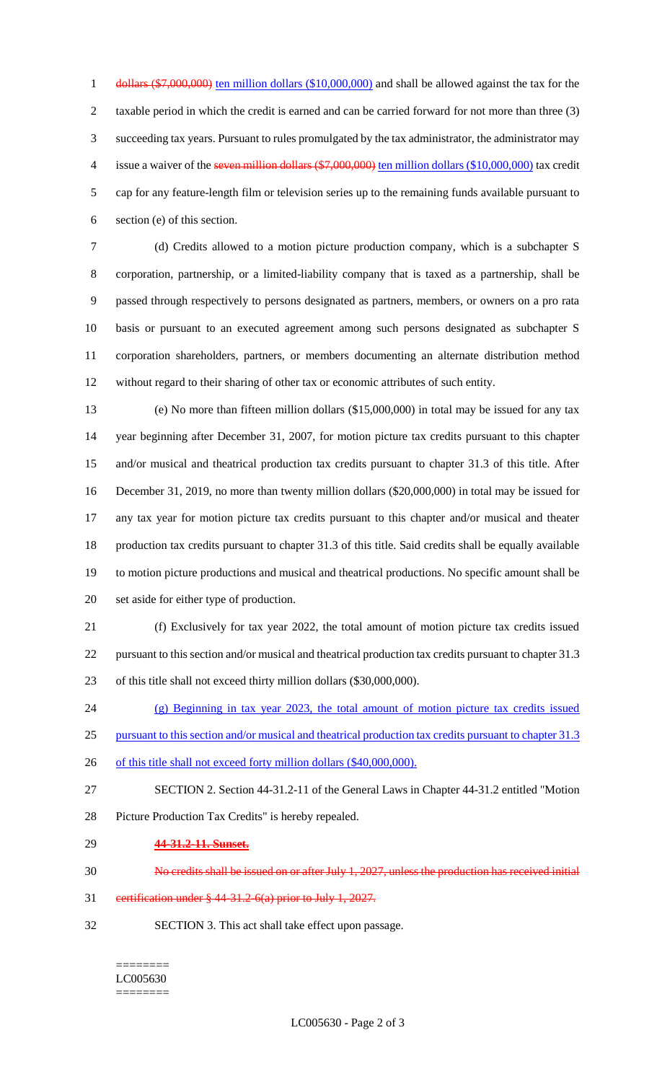1 dollars (\$7,000,000) ten million dollars (\$10,000,000) and shall be allowed against the tax for the taxable period in which the credit is earned and can be carried forward for not more than three (3) succeeding tax years. Pursuant to rules promulgated by the tax administrator, the administrator may 4 issue a waiver of the seven million dollars (\$7,000,000) ten million dollars (\$10,000,000) tax credit cap for any feature-length film or television series up to the remaining funds available pursuant to section (e) of this section.

 (d) Credits allowed to a motion picture production company, which is a subchapter S corporation, partnership, or a limited-liability company that is taxed as a partnership, shall be passed through respectively to persons designated as partners, members, or owners on a pro rata basis or pursuant to an executed agreement among such persons designated as subchapter S corporation shareholders, partners, or members documenting an alternate distribution method without regard to their sharing of other tax or economic attributes of such entity.

 (e) No more than fifteen million dollars (\$15,000,000) in total may be issued for any tax year beginning after December 31, 2007, for motion picture tax credits pursuant to this chapter and/or musical and theatrical production tax credits pursuant to chapter 31.3 of this title. After December 31, 2019, no more than twenty million dollars (\$20,000,000) in total may be issued for any tax year for motion picture tax credits pursuant to this chapter and/or musical and theater production tax credits pursuant to chapter 31.3 of this title. Said credits shall be equally available to motion picture productions and musical and theatrical productions. No specific amount shall be set aside for either type of production.

 (f) Exclusively for tax year 2022, the total amount of motion picture tax credits issued pursuant to this section and/or musical and theatrical production tax credits pursuant to chapter 31.3 of this title shall not exceed thirty million dollars (\$30,000,000).

 (g) Beginning in tax year 2023, the total amount of motion picture tax credits issued pursuant to this section and/or musical and theatrical production tax credits pursuant to chapter 31.3

- 26 of this title shall not exceed forty million dollars (\$40,000,000).
- SECTION 2. Section 44-31.2-11 of the General Laws in Chapter 44-31.2 entitled "Motion Picture Production Tax Credits" is hereby repealed.
- **44-31.2-11. Sunset.**
- No credits shall be issued on or after July 1, 2027, unless the production has received initial
- certification under § 44-31.2-6(a) prior to July 1, 2027.
- SECTION 3. This act shall take effect upon passage.

#### ======== LC005630 ========